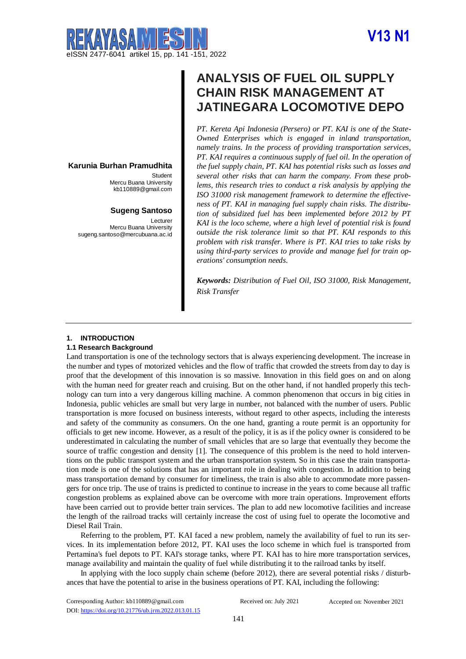# **V13 N1**



### **Karunia Burhan Pramudhita**

**Student** Mercu Buana University [kb110889@gmail.com](mailto:kb110889@gmail.com)

#### **Sugeng Santoso**

Lecturer Mercu Buana University sugeng.santoso@mercubuana.ac.id

## **ANALYSIS OF FUEL OIL SUPPLY CHAIN RISK MANAGEMENT AT JATINEGARA LOCOMOTIVE DEPO**

*PT. Kereta Api Indonesia (Persero) or PT. KAI is one of the State-Owned Enterprises which is engaged in inland transportation, namely trains. In the process of providing transportation services, PT. KAI requires a continuous supply of fuel oil. In the operation of the fuel supply chain, PT. KAI has potential risks such as losses and several other risks that can harm the company. From these problems, this research tries to conduct a risk analysis by applying the ISO 31000 risk management framework to determine the effectiveness of PT. KAI in managing fuel supply chain risks. The distribution of subsidized fuel has been implemented before 2012 by PT KAI is the loco scheme, where a high level of potential risk is found outside the risk tolerance limit so that PT. KAI responds to this problem with risk transfer. Where is PT. KAI tries to take risks by using third-party services to provide and manage fuel for train operations' consumption needs.*

*Keywords: Distribution of Fuel Oil, ISO 31000, Risk Management, Risk Transfer*

#### **1. INTRODUCTION**

#### **1.1 Research Background**

Land transportation is one of the technology sectors that is always experiencing development. The increase in the number and types of motorized vehicles and the flow of traffic that crowded the streets from day to day is proof that the development of this innovation is so massive. Innovation in this field goes on and on along with the human need for greater reach and cruising. But on the other hand, if not handled properly this technology can turn into a very dangerous killing machine. A common phenomenon that occurs in big cities in Indonesia, public vehicles are small but very large in number, not balanced with the number of users. Public transportation is more focused on business interests, without regard to other aspects, including the interests and safety of the community as consumers. On the one hand, granting a route permit is an opportunity for officials to get new income. However, as a result of the policy, it is as if the policy owner is considered to be underestimated in calculating the number of small vehicles that are so large that eventually they become the source of traffic congestion and density [1]. The consequence of this problem is the need to hold interventions on the public transport system and the urban transportation system. So in this case the train transportation mode is one of the solutions that has an important role in dealing with congestion. In addition to being mass transportation demand by consumer for timeliness, the train is also able to accommodate more passengers for once trip. The use of trains is predicted to continue to increase in the years to come because all traffic congestion problems as explained above can be overcome with more train operations. Improvement efforts have been carried out to provide better train services. The plan to add new locomotive facilities and increase the length of the railroad tracks will certainly increase the cost of using fuel to operate the locomotive and Diesel Rail Train.

Referring to the problem, PT. KAI faced a new problem, namely the availability of fuel to run its services. In its implementation before 2012, PT. KAI uses the loco scheme in which fuel is transported from Pertamina's fuel depots to PT. KAI's storage tanks, where PT. KAI has to hire more transportation services, manage availability and maintain the quality of fuel while distributing it to the railroad tanks by itself.

In applying with the loco supply chain scheme (before 2012), there are several potential risks / disturbances that have the potential to arise in the business operations of PT. KAI, including the following: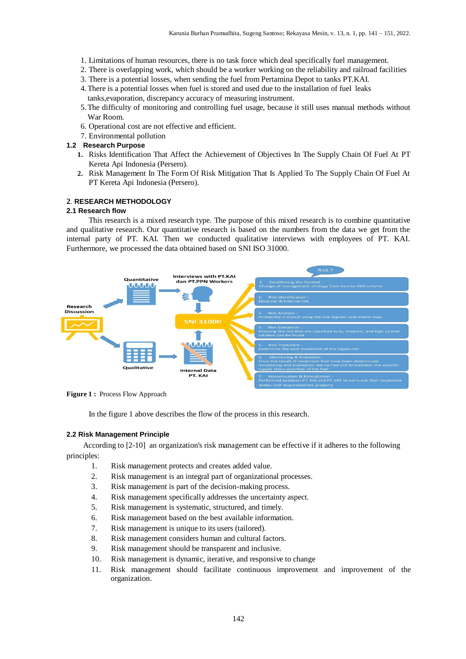- 1. Limitations of human resources, there is no task force which deal specifically fuel management.
- 2. There is overlapping work, which should be a worker working on the reliability and railroad facilities
- 3. There is a potential losses, when sending the fuel from Pertamina Depot to tanks PT.KAI.
- 4.There is a potential losses when fuel is stored and used due to the installation of fuel leaks tanks,evaporation, discrepancy accuracy of measuring instrument.
- 5.The difficulty of monitoring and controlling fuel usage, because it still uses manual methods without War Room.
- 6. Operational cost are not effective and efficient.
- 7. Environmental pollution

#### **1.2 Research Purpose**

- **1.** Risks Identification That Affect the Achievement of Objectives In The Supply Chain Of Fuel At PT Kereta Api Indonesia (Persero).
- **2.** Risk Management In The Form Of Risk Mitigation That Is Applied To The Supply Chain Of Fuel At PT Kereta Api Indonesia (Persero).

#### **2**. **RESEARCH METHODOLOGY**

#### **2.1 Research flow**

This research is a mixed research type. The purpose of this mixed research is to combine quantitative and qualitative research. Our quantitative research is based on the numbers from the data we get from the internal party of PT. KAI. Then we conducted qualitative interviews with employees of PT. KAI. Furthermore, we processed the data obtained based on SNI ISO 31000.



**Figure 1 :** Process Flow Approach

In the figure 1 above describes the flow of the process in this research.

#### **2.2 Risk Management Principle**

According to [2-10] an organization's risk management can be effective if it adheres to the following principles:

- 1. Risk management protects and creates added value.
- 2. Risk management is an integral part of organizational processes.
- 3. Risk management is part of the decision-making process.
- 4. Risk management specifically addresses the uncertainty aspect.
- 5. Risk management is systematic, structured, and timely.
- 6. Risk management based on the best available information.
- 7. Risk management is unique to its users (tailored).
- 8. Risk management considers human and cultural factors.
- 9. Risk management should be transparent and inclusive.
- 10. Risk management is dynamic, iterative, and responsive to change
- 11. Risk management should facilitate continuous improvement and improvement of the organization.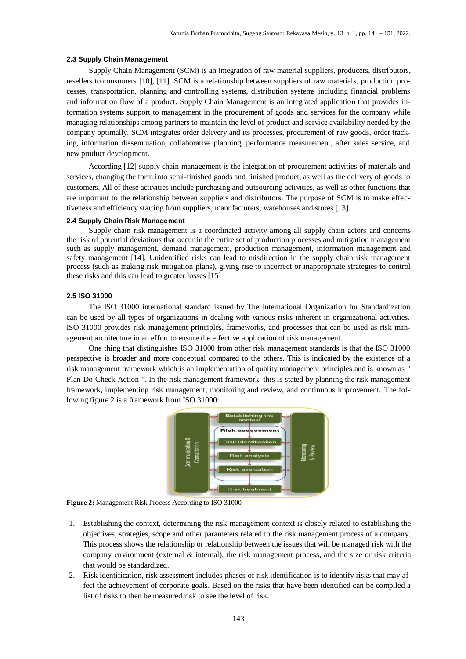#### **2.3 Supply Chain Management**

Supply Chain Management (SCM) is an integration of raw material suppliers, producers, distributors, resellers to consumers [10], [11]. SCM is a relationship between suppliers of raw materials, production processes, transportation, planning and controlling systems, distribution systems including financial problems and information flow of a product. Supply Chain Management is an integrated application that provides information systems support to management in the procurement of goods and services for the company while managing relationships among partners to maintain the level of product and service availability needed by the company optimally. SCM integrates order delivery and its processes, procurement of raw goods, order tracking, information dissemination, collaborative planning, performance measurement, after sales service, and new product development.

According [12] supply chain management is the integration of procurement activities of materials and services, changing the form into semi-finished goods and finished product, as well as the delivery of goods to customers. All of these activities include purchasing and outsourcing activities, as well as other functions that are important to the relationship between suppliers and distributors. The purpose of SCM is to make effectiveness and efficiency starting from suppliers, manufacturers, warehouses and stores [13].

#### **2.4 Supply Chain Risk Management**

Supply chain risk management is a coordinated activity among all supply chain actors and concerns the risk of potential deviations that occur in the entire set of production processes and mitigation management such as supply management, demand management, production management, information management and safety management [14]. Unidentified risks can lead to misdirection in the supply chain risk management process (such as making risk mitigation plans), giving rise to incorrect or inappropriate strategies to control these risks and this can lead to greater losses [15]

#### **2.5 ISO 31000**

The ISO 31000 international standard issued by The International Organization for Standardization can be used by all types of organizations in dealing with various risks inherent in organizational activities. ISO 31000 provides risk management principles, frameworks, and processes that can be used as risk management architecture in an effort to ensure the effective application of risk management.

One thing that distinguishes ISO 31000 from other risk management standards is that the ISO 31000 perspective is broader and more conceptual compared to the others. This is indicated by the existence of a risk management framework which is an implementation of quality management principles and is known as " Plan-Do-Check-Action ". In the risk management framework, this is stated by planning the risk management framework, implementing risk management, monitoring and review, and continuous improvement. The following figure 2 is a framework from ISO 31000:



**Figure 2:** Management Risk Process According to ISO 31000

- 1. Establishing the context, determining the risk management context is closely related to establishing the objectives, strategies, scope and other parameters related to the risk management process of a company. This process shows the relationship or relationship between the issues that will be managed risk with the company environment (external  $\&$  internal), the risk management process, and the size or risk criteria that would be standardized.
- 2. Risk identification, risk assessment includes phases of risk identification is to identify risks that may affect the achievement of corporate goals. Based on the risks that have been identified can be compiled a list of risks to then be measured risk to see the level of risk.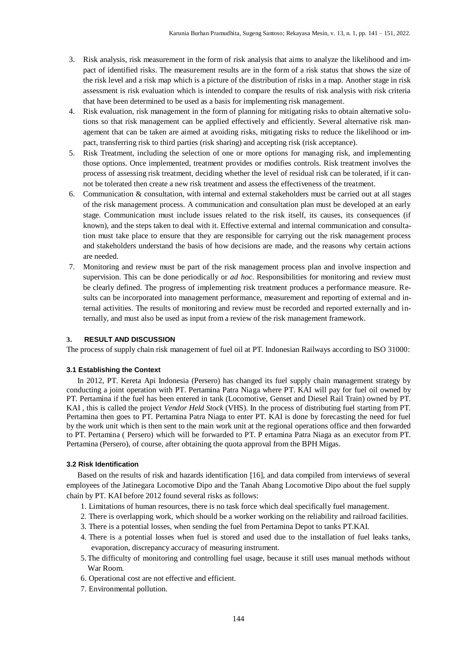- 3. Risk analysis, risk measurement in the form of risk analysis that aims to analyze the likelihood and impact of identified risks. The measurement results are in the form of a risk status that shows the size of the risk level and a risk map which is a picture of the distribution of risks in a map. Another stage in risk assessment is risk evaluation which is intended to compare the results of risk analysis with risk criteria that have been determined to be used as a basis for implementing risk management.
- 4. Risk evaluation, risk management in the form of planning for mitigating risks to obtain alternative solutions so that risk management can be applied effectively and efficiently. Several alternative risk management that can be taken are aimed at avoiding risks, mitigating risks to reduce the likelihood or impact, transferring risk to third parties (risk sharing) and accepting risk (risk acceptance).
- 5. Risk Treatment, including the selection of one or more options for managing risk, and implementing those options. Once implemented, treatment provides or modifies controls. Risk treatment involves the process of assessing risk treatment, deciding whether the level of residual risk can be tolerated, if it cannot be tolerated then create a new risk treatment and assess the effectiveness of the treatment.
- 6. Communication & consultation, with internal and external stakeholders must be carried out at all stages of the risk management process. A communication and consultation plan must be developed at an early stage. Communication must include issues related to the risk itself, its causes, its consequences (if known), and the steps taken to deal with it. Effective external and internal communication and consultation must take place to ensure that they are responsible for carrying out the risk management process and stakeholders understand the basis of how decisions are made, and the reasons why certain actions are needed.
- 7. Monitoring and review must be part of the risk management process plan and involve inspection and supervision. This can be done periodically or *ad hoc*. Responsibilities for monitoring and review must be clearly defined. The progress of implementing risk treatment produces a performance measure. Results can be incorporated into management performance, measurement and reporting of external and internal activities. The results of monitoring and review must be recorded and reported externally and internally, and must also be used as input from a review of the risk management framework.

#### **3. RESULT AND DISCUSSION**

The process of supply chain risk management of fuel oil at PT. Indonesian Railways according to ISO 31000:

#### **3.1 Establishing the Context**

In 2012, PT. Kereta Api Indonesia (Persero) has changed its fuel supply chain management strategy by conducting a joint operation with PT. Pertamina Patra Niaga where PT. KAI will pay for fuel oil owned by PT. Pertamina if the fuel has been entered in tank (Locomotive, Genset and Diesel Rail Train) owned by PT. KAI , this is called the project *Vendor Held Stock* (VHS). In the process of distributing fuel starting from PT. Pertamina then goes to PT. Pertamina Patra Niaga to enter PT. KAI is done by forecasting the need for fuel by the work unit which is then sent to the main work unit at the regional operations office and then forwarded to PT. Pertamina ( Persero) which will be forwarded to PT. P ertamina Patra Niaga as an executor from PT. Pertamina (Persero), of course, after obtaining the quota approval from the BPH Migas.

#### **3.2 Risk Identification**

Based on the results of risk and hazards identification [16], and data compiled from interviews of several employees of the Jatinegara Locomotive Dipo and the Tanah Abang Locomotive Dipo about the fuel supply chain by PT. KAI before 2012 found several risks as follows:

- 1. Limitations of human resources, there is no task force which deal specifically fuel management.
- 2. There is overlapping work, which should be a worker working on the reliability and railroad facilities.
- 3. There is a potential losses, when sending the fuel from Pertamina Depot to tanks PT.KAI.
- 4. There is a potential losses when fuel is stored and used due to the installation of fuel leaks tanks, evaporation, discrepancy accuracy of measuring instrument.
- 5.The difficulty of monitoring and controlling fuel usage, because it still uses manual methods without War Room.
- 6. Operational cost are not effective and efficient.
- 7. Environmental pollution.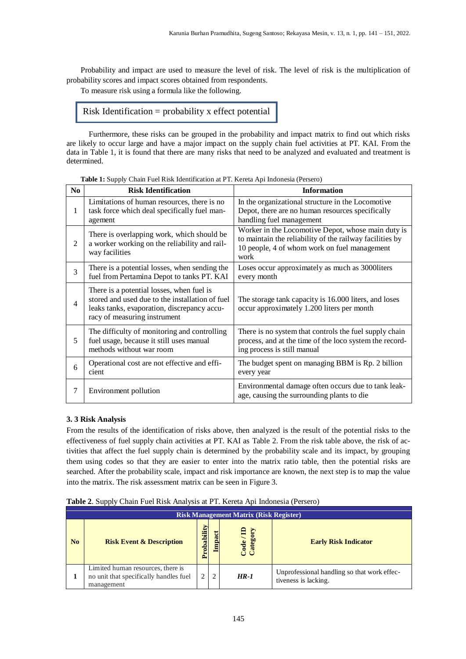Probability and impact are used to measure the level of risk. The level of risk is the multiplication of probability scores and impact scores obtained from respondents.

To measure risk using a formula like the following.

#### Risk Identification = probability x effect potential

Furthermore, these risks can be grouped in the probability and impact matrix to find out which risks are likely to occur large and have a major impact on the supply chain fuel activities at PT. KAI. From the data in Table 1, it is found that there are many risks that need to be analyzed and evaluated and treatment is determined.

| N <sub>0</sub> | <b>Risk Identification</b>                                                                                                                                                  | <b>Information</b>                                                                                                                                                     |
|----------------|-----------------------------------------------------------------------------------------------------------------------------------------------------------------------------|------------------------------------------------------------------------------------------------------------------------------------------------------------------------|
| 1              | Limitations of human resources, there is no<br>task force which deal specifically fuel man-<br>agement                                                                      | In the organizational structure in the Locomotive<br>Depot, there are no human resources specifically<br>handling fuel management                                      |
| 2              | There is overlapping work, which should be<br>a worker working on the reliability and rail-<br>way facilities                                                               | Worker in the Locomotive Depot, whose main duty is<br>to maintain the reliability of the railway facilities by<br>10 people, 4 of whom work on fuel management<br>work |
| 3              | There is a potential losses, when sending the<br>fuel from Pertamina Depot to tanks PT. KAI                                                                                 | Loses occur approximately as much as 3000 liters<br>every month                                                                                                        |
| $\overline{4}$ | There is a potential losses, when fuel is<br>stored and used due to the installation of fuel<br>leaks tanks, evaporation, discrepancy accu-<br>racy of measuring instrument | The storage tank capacity is 16.000 liters, and loses<br>occur approximately 1.200 liters per month                                                                    |
| 5              | The difficulty of monitoring and controlling<br>fuel usage, because it still uses manual<br>methods without war room                                                        | There is no system that controls the fuel supply chain<br>process, and at the time of the loco system the record-<br>ing process is still manual                       |
| 6              | Operational cost are not effective and effi-<br>cient                                                                                                                       | The budget spent on managing BBM is Rp. 2 billion<br>every year                                                                                                        |
| $\overline{7}$ | Environment pollution                                                                                                                                                       | Environmental damage often occurs due to tank leak-<br>age, causing the surrounding plants to die                                                                      |

**Table 1:** Supply Chain Fuel Risk Identification at PT. Kereta Api Indonesia (Persero)

#### **3. 3 Risk Analysis**

From the results of the identification of risks above, then analyzed is the result of the potential risks to the effectiveness of fuel supply chain activities at PT. KAI as Table 2. From the risk table above, the risk of activities that affect the fuel supply chain is determined by the probability scale and its impact, by grouping them using codes so that they are easier to enter into the matrix ratio table, then the potential risks are searched. After the probability scale, impact and risk importance are known, the next step is to map the value into the matrix. The risk assessment matrix can be seen in Figure 3.

| Table 2. Supply Chain Fuel Risk Analysis at PT. Kereta Api Indonesia (Persero) |  |  |
|--------------------------------------------------------------------------------|--|--|
|--------------------------------------------------------------------------------|--|--|

|    | <b>Risk Management Matrix (Risk Register)</b>                                             |             |                  |                       |                                                                     |  |  |  |
|----|-------------------------------------------------------------------------------------------|-------------|------------------|-----------------------|---------------------------------------------------------------------|--|--|--|
| No | <b>Risk Event &amp; Description</b>                                                       | Probability | ಕ<br><b>Impa</b> | Category<br>Code / ID | <b>Early Risk Indicator</b>                                         |  |  |  |
|    | Limited human resources, there is<br>no unit that specifically handles fuel<br>management | ↑           | $\overline{2}$   | $HR-1$                | Unprofessional handling so that work effec-<br>tiveness is lacking. |  |  |  |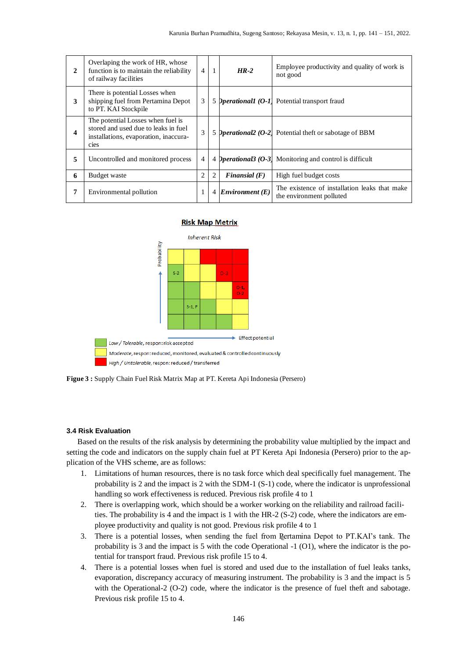| $\mathbf{2}$ | Overlaping the work of HR, whose<br>function is to maintain the reliability<br>of railway facilities                       | $\overline{4}$ | $\mathbf{1}$ | $HR-2$              | Employee productivity and quality of work is<br>not good                   |
|--------------|----------------------------------------------------------------------------------------------------------------------------|----------------|--------------|---------------------|----------------------------------------------------------------------------|
| 3            | There is potential Losses when<br>shipping fuel from Pertamina Depot<br>to PT. KAI Stockpile                               | 3              |              |                     | 5 <i>Operational1 (O-1)</i> Potential transport fraud                      |
| 4            | The potential Losses when fuel is<br>stored and used due to leaks in fuel<br>installations, evaporation, inaccura-<br>cies | 3              |              |                     | 5 <i>Operational <math>(0-2)</math></i> Potential theft or sabotage of BBM |
| 5            | Uncontrolled and monitored process                                                                                         | 4              |              |                     | 4 <i>Pperational3 (O-3)</i> Monitoring and control is difficult            |
| 6            | Budget waste                                                                                                               | 2              | 2            | Finansial $(F)$     | High fuel budget costs                                                     |
| 7            | Environmental pollution                                                                                                    | $\mathbf{1}$   |              | 4 Environment $(E)$ | The existence of installation leaks that make<br>the environment polluted  |

#### **Risk Map Metrix**



**Figue 3 :** Supply Chain Fuel Risk Matrix Map at PT. Kereta Api Indonesia (Persero)

#### **3.4 Risk Evaluation**

Based on the results of the risk analysis by determining the probability value multiplied by the impact and setting the code and indicators on the supply chain fuel at PT Kereta Api Indonesia (Persero) prior to the application of the VHS scheme, are as follows:

- 1. Limitations of human resources, there is no task force which deal specifically fuel management. The probability is 2 and the impact is 2 with the SDM-1 (S-1) code, where the indicator is unprofessional handling so work effectiveness is reduced. Previous risk profile 4 to 1
- 2. There is overlapping work, which should be a worker working on the reliability and railroad facilities. The probability is 4 and the impact is 1 with the HR-2 (S-2) code, where the indicators are employee productivity and quality is not good. Previous risk profile 4 to 1
- 3. There is a potential losses, when sending the fuel from Pertamina Depot to PT.KAI's tank. The probability is 3 and the impact is 5 with the code Operational -1 (O1), where the indicator is the potential for transport fraud. Previous risk profile 15 to 4.
- 4. There is a potential losses when fuel is stored and used due to the installation of fuel leaks tanks, evaporation, discrepancy accuracy of measuring instrument. The probability is 3 and the impact is 5 with the Operational-2 (O-2) code, where the indicator is the presence of fuel theft and sabotage. Previous risk profile 15 to 4.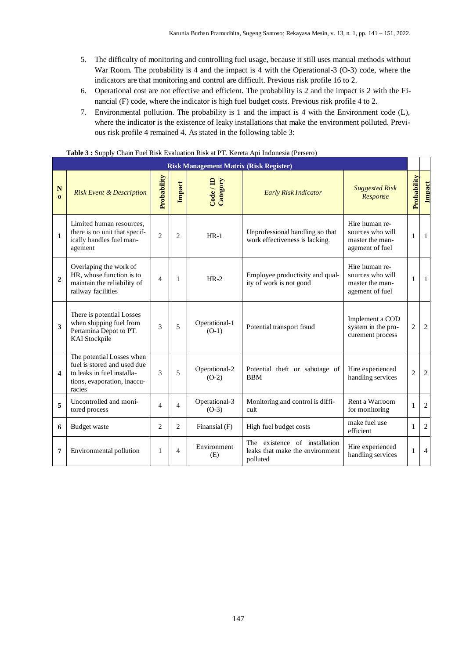- 5. The difficulty of monitoring and controlling fuel usage, because it still uses manual methods without War Room. The probability is 4 and the impact is 4 with the Operational-3 (O-3) code, where the indicators are that monitoring and control are difficult. Previous risk profile 16 to 2.
- 6. Operational cost are not effective and efficient. The probability is 2 and the impact is 2 with the Financial (F) code, where the indicator is high fuel budget costs. Previous risk profile 4 to 2.
- 7. Environmental pollution. The probability is 1 and the impact is 4 with the Environment code (L), where the indicator is the existence of leaky installations that make the environment polluted. Previous risk profile 4 remained 4. As stated in the following table 3:

|                         | <b>Risk Management Matrix (Risk Register)</b>                                                                                   |                          |                |                          |                                                                              |                                                                          |                |                |  |  |
|-------------------------|---------------------------------------------------------------------------------------------------------------------------------|--------------------------|----------------|--------------------------|------------------------------------------------------------------------------|--------------------------------------------------------------------------|----------------|----------------|--|--|
| ${\bf N}$<br>$\Omega$   | <b>Risk Event &amp; Description</b>                                                                                             | Probability              | Impact         | Code / ID<br>Category    | <b>Early Risk Indicator</b>                                                  | <b>Suggested Risk</b><br>Response                                        | Probability    | Impact         |  |  |
| $\mathbf{1}$            | Limited human resources.<br>there is no unit that specif-<br>ically handles fuel man-<br>agement                                | $\overline{c}$           | $\overline{c}$ | $HR-1$                   | Unprofessional handling so that<br>work effectiveness is lacking.            | Hire human re-<br>sources who will<br>master the man-<br>agement of fuel | 1              | 1              |  |  |
| $\mathbf{2}$            | Overlaping the work of<br>HR, whose function is to<br>maintain the reliability of<br>railway facilities                         | $\overline{4}$           | 1              | $HR-2$                   | Employee productivity and qual-<br>ity of work is not good                   | Hire human re-<br>sources who will<br>master the man-<br>agement of fuel | 1              | -1             |  |  |
| 3                       | There is potential Losses<br>when shipping fuel from<br>Pertamina Depot to PT.<br><b>KAI</b> Stockpile                          | 3                        | 5              | Operational-1<br>$(O-1)$ | Potential transport fraud                                                    | Implement a COD<br>system in the pro-<br>curement process                | 2              | 2              |  |  |
| $\overline{\mathbf{4}}$ | The potential Losses when<br>fuel is stored and used due<br>to leaks in fuel installa-<br>tions, evaporation, inaccu-<br>racies | 3                        | 5              | Operational-2<br>$(O-2)$ | Potential theft or sabotage of<br><b>BBM</b>                                 | Hire experienced<br>handling services                                    | $\overline{2}$ | 2              |  |  |
| 5                       | Uncontrolled and moni-<br>tored process                                                                                         | $\overline{\mathcal{A}}$ | $\overline{4}$ | Operational-3<br>$(O-3)$ | Monitoring and control is diffi-<br>cult                                     | Rent a Warroom<br>for monitoring                                         | 1              | 2              |  |  |
| 6                       | Budget waste                                                                                                                    | $\overline{c}$           | $\overline{2}$ | Finansial (F)            | High fuel budget costs                                                       | make fuel use<br>efficient                                               | 1              | 2              |  |  |
| 7                       | Environmental pollution                                                                                                         | 1                        | $\overline{4}$ | Environment<br>(E)       | The existence of installation<br>leaks that make the environment<br>polluted | Hire experienced<br>handling services                                    |                | $\overline{4}$ |  |  |

**Table 3 :** Supply Chain Fuel Risk Evaluation Risk at PT. Kereta Api Indonesia (Persero)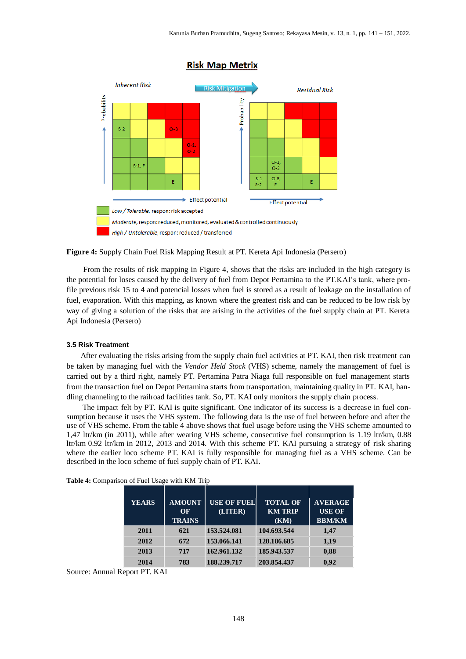

#### **Risk Map Metrix**

**Figure 4:** Supply Chain Fuel Risk Mapping Result at PT. Kereta Api Indonesia (Persero)

From the results of risk mapping in Figure 4, shows that the risks are included in the high category is the potential for loses caused by the delivery of fuel from Depot Pertamina to the PT.KAI's tank, where profile previous risk 15 to 4 and potencial losses when fuel is stored as a result of leakage on the installation of fuel, evaporation. With this mapping, as known where the greatest risk and can be reduced to be low risk by way of giving a solution of the risks that are arising in the activities of the fuel supply chain at PT. Kereta Api Indonesia (Persero)

#### **3.5 Risk Treatment**

After evaluating the risks arising from the supply chain fuel activities at PT. KAI, then risk treatment can be taken by managing fuel with the *Vendor Held Stock* (VHS) scheme, namely the management of fuel is carried out by a third right, namely PT. Pertamina Patra Niaga full responsible on fuel management starts from the transaction fuel on Depot Pertamina starts from transportation, maintaining quality in PT. KAI, handling channeling to the railroad facilities tank. So, PT. KAI only monitors the supply chain process.

The impact felt by PT. KAI is quite significant. One indicator of its success is a decrease in fuel consumption because it uses the VHS system. The following data is the use of fuel between before and after the use of VHS scheme. From the table 4 above shows that fuel usage before using the VHS scheme amounted to 1,47 ltr/km (in 2011), while after wearing VHS scheme, consecutive fuel consumption is 1.19 ltr/km, 0.88 ltr/km 0.92 ltr/km in 2012, 2013 and 2014. With this scheme PT. KAI pursuing a strategy of risk sharing where the earlier loco scheme PT. KAI is fully responsible for managing fuel as a VHS scheme. Can be described in the loco scheme of fuel supply chain of PT. KAI.

| <b>YEARS</b> | <b>AMOUNT</b> | <b>USE OF FUEL</b> | <b>TOTAL OF</b> | <b>AVERAGE</b> |
|--------------|---------------|--------------------|-----------------|----------------|
|              | OF            | (LITER)            | <b>KM TRIP</b>  | <b>USE OF</b>  |
|              | <b>TRAINS</b> |                    | (KM)            | <b>BBM/KM</b>  |
| 2011         | 621           | 153.524.081        | 104.693.544     | 1,47           |
| 2012         | 672           | 153.066.141        | 128.186.685     | 1,19           |
| 2013         | 717           | 162.961.132        | 185.943.537     | 0,88           |
| 2014         | 783           | 188,239,717        | 203.854.437     | 0.92           |

Source: Annual Report PT. KAI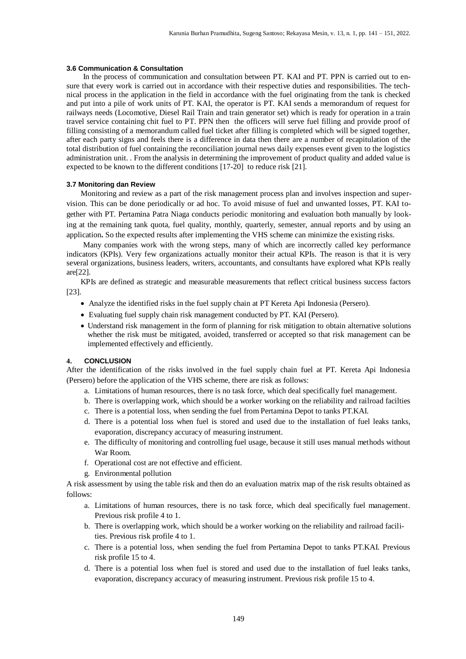#### **3.6 Communication & Consultation**

In the process of communication and consultation between PT. KAI and PT. PPN is carried out to ensure that every work is carried out in accordance with their respective duties and responsibilities. The technical process in the application in the field in accordance with the fuel originating from the tank is checked and put into a pile of work units of PT. KAI, the operator is PT. KAI sends a memorandum of request for railways needs (Locomotive, Diesel Rail Train and train generator set) which is ready for operation in a train travel service containing chit fuel to PT. PPN then the officers will serve fuel filling and provide proof of filling consisting of a memorandum called fuel ticket after filling is completed which will be signed together, after each party signs and feels there is a difference in data then there are a number of recapitulation of the total distribution of fuel containing the reconciliation journal news daily expenses event given to the logistics administration unit. . From the analysis in determining the improvement of product quality and added value is expected to be known to the different conditions [17-20] to reduce risk [21].

#### **3.7 Monitoring dan Review**

Monitoring and review as a part of the risk management process plan and involves inspection and supervision. This can be done periodically or ad hoc. To avoid misuse of fuel and unwanted losses, PT. KAI together with PT. Pertamina Patra Niaga conducts periodic monitoring and evaluation both manually by looking at the remaining tank quota, fuel quality, monthly, quarterly, semester, annual reports and by using an application**.** So the expected results after implementing the VHS scheme can minimize the existing risks.

Many companies work with the wrong steps, many of which are incorrectly called key performance indicators (KPIs). Very few organizations actually monitor their actual KPIs. The reason is that it is very several organizations, business leaders, writers, accountants, and consultants have explored what KPIs really are[22].

KPIs are defined as strategic and measurable measurements that reflect critical business success factors [23].

- Analyze the identified risks in the fuel supply chain at PT Kereta Api Indonesia (Persero).
- Evaluating fuel supply chain risk management conducted by PT. KAI (Persero).
- Understand risk management in the form of planning for risk mitigation to obtain alternative solutions whether the risk must be mitigated, avoided, transferred or accepted so that risk management can be implemented effectively and efficiently.

#### **4. CONCLUSION**

After the identification of the risks involved in the fuel supply chain fuel at PT. Kereta Api Indonesia (Persero) before the application of the VHS scheme, there are risk as follows:

- a. Limitations of human resources, there is no task force, which deal specifically fuel management.
- b. There is overlapping work, which should be a worker working on the reliability and railroad facilties
- c. There is a potential loss, when sending the fuel from Pertamina Depot to tanks PT.KAI.
- d. There is a potential loss when fuel is stored and used due to the installation of fuel leaks tanks, evaporation, discrepancy accuracy of measuring instrument.
- e. The difficulty of monitoring and controlling fuel usage, because it still uses manual methods without War Room.
- f. Operational cost are not effective and efficient.
- g. Environmental pollution

A risk assessment by using the table risk and then do an evaluation matrix map of the risk results obtained as follows:

- a. Limitations of human resources, there is no task force, which deal specifically fuel management. Previous risk profile 4 to 1.
- b. There is overlapping work, which should be a worker working on the reliability and railroad facilities. Previous risk profile 4 to 1.
- c. There is a potential loss, when sending the fuel from Pertamina Depot to tanks PT.KAI. Previous risk profile 15 to 4.
- d. There is a potential loss when fuel is stored and used due to the installation of fuel leaks tanks, evaporation, discrepancy accuracy of measuring instrument. Previous risk profile 15 to 4.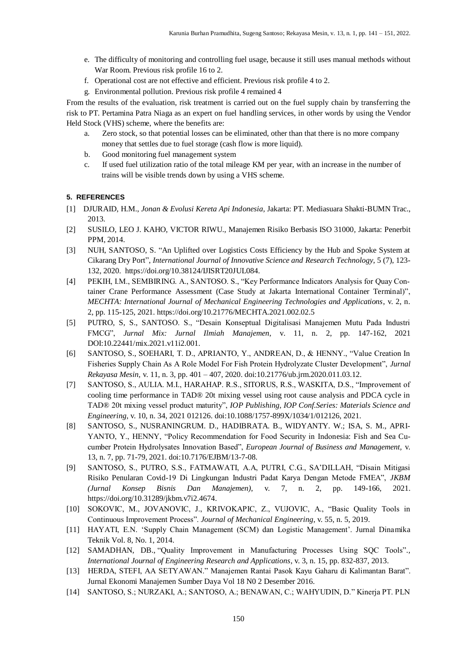- e. The difficulty of monitoring and controlling fuel usage, because it still uses manual methods without War Room. Previous risk profile 16 to 2.
- f. Operational cost are not effective and efficient. Previous risk profile 4 to 2.
- g. Environmental pollution. Previous risk profile 4 remained 4

From the results of the evaluation, risk treatment is carried out on the fuel supply chain by transferring the risk to PT. Pertamina Patra Niaga as an expert on fuel handling services, in other words by using the Vendor Held Stock (VHS) scheme, where the benefits are:

- a. Zero stock, so that potential losses can be eliminated, other than that there is no more company money that settles due to fuel storage (cash flow is more liquid).
- b. Good monitoring fuel management system
- c. If used fuel utilization ratio of the total mileage KM per year, with an increase in the number of trains will be visible trends down by using a VHS scheme.

#### **5. REFERENCES**

- [1] DJURAID, H.M., *Jonan & Evolusi Kereta Api Indonesia,* Jakarta: PT. Mediasuara Shakti-BUMN Trac., 2013.
- [2] SUSILO, LEO J. KAHO, VICTOR RIWU., Manajemen Risiko Berbasis ISO 31000*,* Jakarta: Penerbit PPM, 2014.
- [3] NUH, SANTOSO, S. "An Uplifted over Logistics Costs Efficiency by the Hub and Spoke System at Cikarang Dry Port", *International Journal of Innovative Science and Research Technology*, 5 (7), 123- 132, 2020. https://doi.org/10.38124/IJISRT20JUL084.
- [4] PEKIH, I.M., SEMBIRING. A., SANTOSO. S., "Key Performance Indicators Analysis for Quay Container Crane Performance Assessment (Case Study at Jakarta International Container Terminal)", *MECHTA: International Journal of Mechanical Engineering Technologies and Applications*, v. 2, n. 2, pp. 115-125, 2021. <https://doi.org/10.21776/MECHTA.2021.002.02.5>
- [5] PUTRO, S, S., SANTOSO. S., "Desain Konseptual Digitalisasi Manajemen Mutu Pada Industri FMCG", *Jurnal Mix: Jurnal Ilmiah Manajemen*, v. 11, n. 2, pp. 147-162, 2021 DOI[:10.22441/mix.2021.v11i2.001.](https://dx.doi.org/10.22441/mix.2021.v11i2.001)
- [6] SANTOSO, S., SOEHARI, T. D., APRIANTO, Y., ANDREAN, D., & HENNY., "Value Creation In Fisheries Supply Chain As A Role Model For Fish Protein Hydrolyzate Cluster Development", *Jurnal Rekayasa Mesin,* v. 11, n. 3, pp. 401 – 407, 2020. doi:10.21776/ub.jrm.2020.011.03.12.
- [7] SANTOSO, S., AULIA. M.I., HARAHAP. R.S., SITORUS, R.S., WASKITA, D.S., "Improvement of cooling time performance in TAD® 20t mixing vessel using root cause analysis and PDCA cycle in TAD® 20t mixing vessel product maturity", *IOP Publishing, IOP Conf.Series: Materials Science and Engineering*, v. 10, n. 34, 2021 012126. doi:10.1088/1757-899X/1034/1/012126, 2021.
- [8] SANTOSO, S., NUSRANINGRUM. D., HADIBRATA. B., WIDYANTY. W.; ISA, S. M., APRI-YANTO, Y., HENNY, "Policy Recommendation for Food Security in Indonesia: Fish and Sea Cucumber Protein Hydrolysates Innovation Based", *European Journal of Business and Management,* v. 13, n. 7, pp. 71-79, 2021. doi:10.7176/EJBM/13-7-08.
- [9] SANTOSO, S., PUTRO, S.S., FATMAWATI, A.A, PUTRI, C.G., SA'DILLAH, "Disain Mitigasi Risiko Penularan Covid-19 Di Lingkungan Industri Padat Karya Dengan Metode FMEA", *JKBM (Jurnal Konsep Bisnis Dan Manajemen)*, v. 7, n. 2, pp. 149-166, 2021. [https://doi.org/10.31289/jkbm.v7i2.4674.](https://doi.org/10.31289/jkbm.v7i2.4674)
- [10] SOKOVIC, M., JOVANOVIC, J., KRIVOKAPIC, Z., VUJOVIC, A., "Basic Quality Tools in Continuous Improvement Process". *Journal of Mechanical Engineering*, v. 55, n. 5, 2019.
- [11] HAYATI, E.N. 'Supply Chain Management (SCM) dan Logistic Management'. Jurnal Dinamika Teknik Vol. 8, No. 1, 2014.
- [12] SAMADHAN, DB., "Quality Improvement in Manufacturing Processes Using SQC Tools"*., International Journal of Engineering Research and Applications*, v. 3, n. 15, pp. 832-837, 2013.
- [13] HERDA, STEFI, AA SETYAWAN." Manajemen Rantai Pasok Kayu Gaharu di Kalimantan Barat". Jurnal Ekonomi Manajemen Sumber Daya Vol 18 N0 2 Desember 2016.
- [14] SANTOSO, S.; NURZAKI, A.; SANTOSO, A.; BENAWAN, C.; WAHYUDIN, D." Kinerja PT. PLN